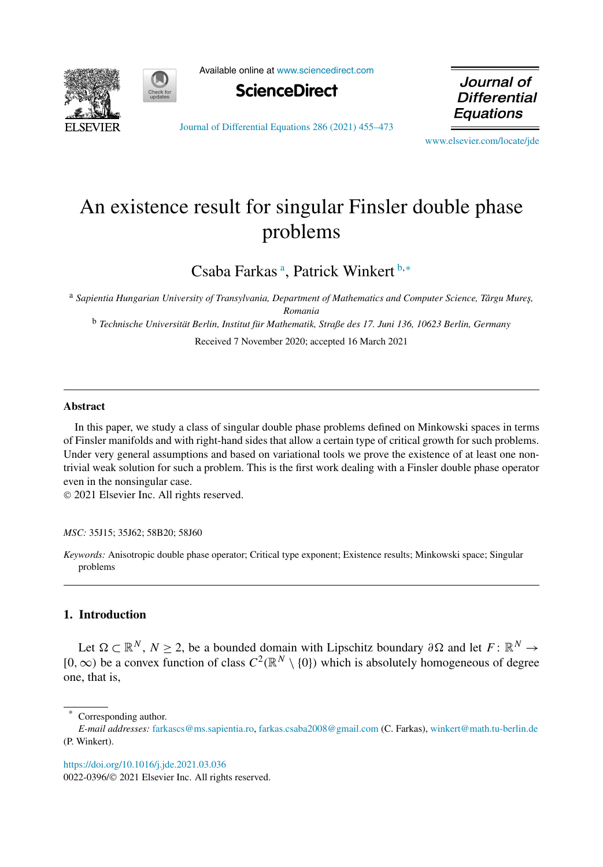



Available online at [www.sciencedirect.com](http://www.sciencedirect.com)



Journal of **Differential Equations** 

[Journal of Differential Equations 286 \(2021\) 455–473](https://doi.org/10.1016/j.jde.2021.03.036)

[www.elsevier.com/locate/jde](http://www.elsevier.com/locate/jde)

# An existence result for singular Finsler double phase problems

Csaba Farkas <sup>a</sup> , Patrick Winkert <sup>b</sup>*,*<sup>∗</sup>

<sup>a</sup> *Sapientia Hungarian University of Transylvania, Department of Mathematics and Computer Science, Târgu Mure¸s, Romania*

<sup>b</sup> *Technische Universität Berlin, Institut für Mathematik, Straße des 17. Juni 136, 10623 Berlin, Germany*

Received 7 November 2020; accepted 16 March 2021

## **Abstract**

In this paper, we study a class of singular double phase problems defined on Minkowski spaces in terms of Finsler manifolds and with right-hand sides that allow a certain type of critical growth for such problems. Under very general assumptions and based on variational tools we prove the existence of at least one nontrivial weak solution for such a problem. This is the first work dealing with a Finsler double phase operator even in the nonsingular case.

© 2021 Elsevier Inc. All rights reserved.

#### *MSC:* 35J15; 35J62; 58B20; 58J60

*Keywords:* Anisotropic double phase operator; Critical type exponent; Existence results; Minkowski space; Singular problems

# **1. Introduction**

Let  $\Omega \subset \mathbb{R}^N$ ,  $N \geq 2$ , be a bounded domain with Lipschitz boundary  $\partial \Omega$  and let  $F: \mathbb{R}^N \to$  $[0, ∞)$  be a convex function of class  $C^2(\mathbb{R}^N \setminus \{0\})$  which is absolutely homogeneous of degree one, that is,

<https://doi.org/10.1016/j.jde.2021.03.036>

0022-0396/© 2021 Elsevier Inc. All rights reserved.

Corresponding author.

*E-mail addresses:* [farkascs@ms.sapientia.ro,](mailto:farkascs@ms.sapientia.ro) [farkas.csaba2008@gmail.com](mailto:farkas.csaba2008@gmail.com) (C. Farkas), [winkert@math.tu-berlin.de](mailto:winkert@math.tu-berlin.de) (P. Winkert).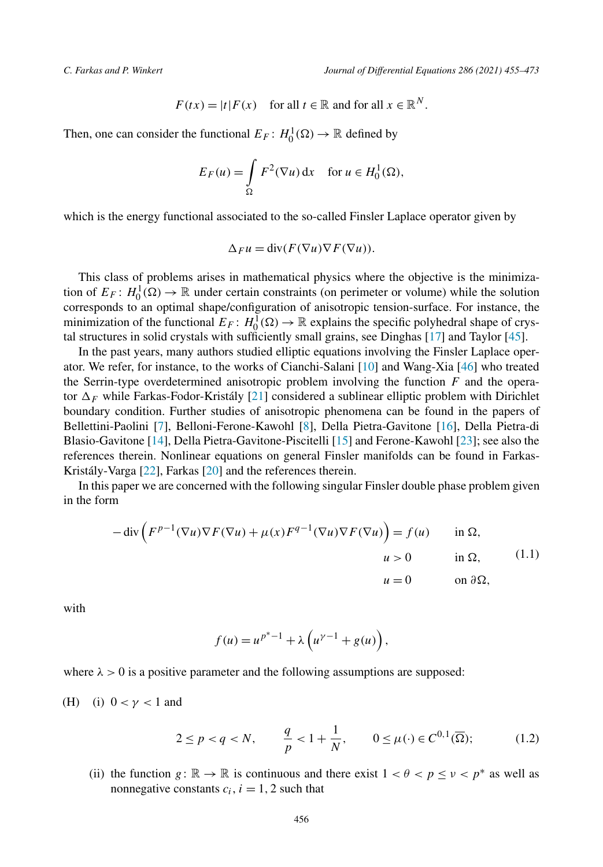$$
F(tx) = |t|F(x) \quad \text{for all } t \in \mathbb{R} \text{ and for all } x \in \mathbb{R}^N.
$$

<span id="page-1-0"></span>Then, one can consider the functional  $E_F: H_0^1(\Omega) \to \mathbb{R}$  defined by

$$
E_F(u) = \int_{\Omega} F^2(\nabla u) \, \mathrm{d}x \quad \text{for } u \in H_0^1(\Omega),
$$

which is the energy functional associated to the so-called Finsler Laplace operator given by

$$
\Delta_F u = \text{div}(F(\nabla u)\nabla F(\nabla u)).
$$

This class of problems arises in mathematical physics where the objective is the minimization of  $E_F$ :  $H_0^1(\Omega) \to \mathbb{R}$  under certain constraints (on perimeter or volume) while the solution corresponds to an optimal shape/configuration of anisotropic tension-surface. For instance, the minimization of the functional  $E_F$ :  $H_0^1(\Omega) \to \mathbb{R}$  explains the specific polyhedral shape of crystal structures in solid crystals with sufficiently small grains, see Dinghas [\[17](#page-17-0)] and Taylor [\[45](#page-18-0)].

In the past years, many authors studied elliptic equations involving the Finsler Laplace operator. We refer, for instance, to the works of Cianchi-Salani [[10\]](#page-17-0) and Wang-Xia [\[46](#page-18-0)] who treated the Serrin-type overdetermined anisotropic problem involving the function *F* and the operator  $\Delta_F$  while Farkas-Fodor-Kristály [[21\]](#page-17-0) considered a sublinear elliptic problem with Dirichlet boundary condition. Further studies of anisotropic phenomena can be found in the papers of Bellettini-Paolini [\[7](#page-17-0)], Belloni-Ferone-Kawohl [\[8](#page-17-0)], Della Pietra-Gavitone [[16\]](#page-17-0), Della Pietra-di Blasio-Gavitone [\[14](#page-17-0)], Della Pietra-Gavitone-Piscitelli [[15\]](#page-17-0) and Ferone-Kawohl [\[23\]](#page-17-0); see also the references therein. Nonlinear equations on general Finsler manifolds can be found in Farkas-Kristály-Varga [[22\]](#page-17-0), Farkas [\[20](#page-17-0)] and the references therein.

In this paper we are concerned with the following singular Finsler double phase problem given in the form

$$
-\operatorname{div}\left(F^{p-1}(\nabla u)\nabla F(\nabla u) + \mu(x)F^{q-1}(\nabla u)\nabla F(\nabla u)\right) = f(u) \quad \text{in } \Omega,
$$
  
\n
$$
u > 0 \quad \text{in } \Omega,
$$
  
\n
$$
u = 0 \quad \text{on } \partial\Omega,
$$
  
\n(1.1)

with

$$
f(u) = u^{p^{*}-1} + \lambda \left( u^{\gamma-1} + g(u) \right),
$$

where  $\lambda > 0$  is a positive parameter and the following assumptions are supposed:

(H) (i)  $0 < \gamma < 1$  and

$$
2 \le p < q < N
$$
,  $\frac{q}{p} < 1 + \frac{1}{N}$ ,  $0 \le \mu(\cdot) \in C^{0,1}(\overline{\Omega})$ ; (1.2)

(ii) the function  $g: \mathbb{R} \to \mathbb{R}$  is continuous and there exist  $1 < \theta < p \leq v < p^*$  as well as nonnegative constants  $c_i$ ,  $i = 1, 2$  such that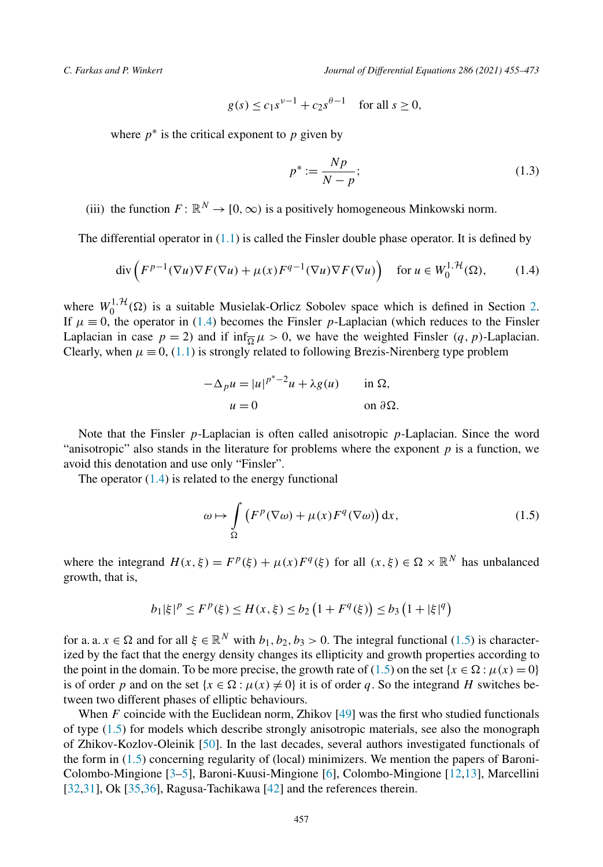<span id="page-2-0"></span>

$$
g(s) \le c_1 s^{\nu-1} + c_2 s^{\theta-1}
$$
 for all  $s \ge 0$ ,

where  $p^*$  is the critical exponent to  $p$  given by

$$
p^* := \frac{Np}{N - p};\tag{1.3}
$$

(iii) the function  $F: \mathbb{R}^N \to [0, \infty)$  is a positively homogeneous Minkowski norm.

The differential operator in  $(1.1)$  is called the Finsler double phase operator. It is defined by

$$
\operatorname{div}\left(F^{p-1}(\nabla u)\nabla F(\nabla u) + \mu(x)F^{q-1}(\nabla u)\nabla F(\nabla u)\right) \quad \text{for } u \in W_0^{1, \mathcal{H}}(\Omega),\tag{1.4}
$$

where  $W_0^{1, H}(\Omega)$  is a suitable Musielak-Orlicz Sobolev space which is defined in Section [2.](#page-4-0) If  $\mu \equiv 0$ , the operator in (1.4) becomes the Finsler *p*-Laplacian (which reduces to the Finsler Laplacian in case  $p = 2$ ) and if  $\inf_{\Omega} \mu > 0$ , we have the weighted Finsler  $(q, p)$ -Laplacian. Clearly, when  $\mu \equiv 0$ , [\(1.1](#page-1-0)) is strongly related to following Brezis-Nirenberg type problem

$$
-\Delta_p u = |u|^{p^*-2}u + \lambda g(u) \quad \text{in } \Omega,
$$
  
 
$$
u = 0 \quad \text{on } \partial\Omega.
$$

Note that the Finsler *p*-Laplacian is often called anisotropic *p*-Laplacian. Since the word "anisotropic" also stands in the literature for problems where the exponent  $p$  is a function, we avoid this denotation and use only "Finsler".

The operator  $(1.4)$  is related to the energy functional

$$
\omega \mapsto \int_{\Omega} \left( F^p(\nabla \omega) + \mu(x) F^q(\nabla \omega) \right) dx, \tag{1.5}
$$

where the integrand  $H(x,\xi) = F^p(\xi) + \mu(x)F^q(\xi)$  for all  $(x,\xi) \in \Omega \times \mathbb{R}^N$  has unbalanced growth, that is,

$$
b_1|\xi|^p \le F^p(\xi) \le H(x,\xi) \le b_2\left(1 + F^q(\xi)\right) \le b_3\left(1 + |\xi|^q\right)
$$

for a. a.  $x \in \Omega$  and for all  $\xi \in \mathbb{R}^N$  with  $b_1, b_2, b_3 > 0$ . The integral functional (1.5) is characterized by the fact that the energy density changes its ellipticity and growth properties according to the point in the domain. To be more precise, the growth rate of (1.5) on the set  $\{x \in \Omega : \mu(x) = 0\}$ is of order *p* and on the set  $\{x \in \Omega : \mu(x) \neq 0\}$  it is of order *q*. So the integrand *H* switches between two different phases of elliptic behaviours.

When *F* coincide with the Euclidean norm, Zhikov [\[49](#page-18-0)] was the first who studied functionals of type (1.5) for models which describe strongly anisotropic materials, see also the monograph of Zhikov-Kozlov-Oleinik [[50\]](#page-18-0). In the last decades, several authors investigated functionals of the form in (1.5) concerning regularity of (local) minimizers. We mention the papers of Baroni-Colombo-Mingione [[3–5\]](#page-17-0), Baroni-Kuusi-Mingione [[6\]](#page-17-0), Colombo-Mingione [[12,13](#page-17-0)], Marcellini [[32,31](#page-18-0)], Ok [[35,36](#page-18-0)], Ragusa-Tachikawa [\[42](#page-18-0)] and the references therein.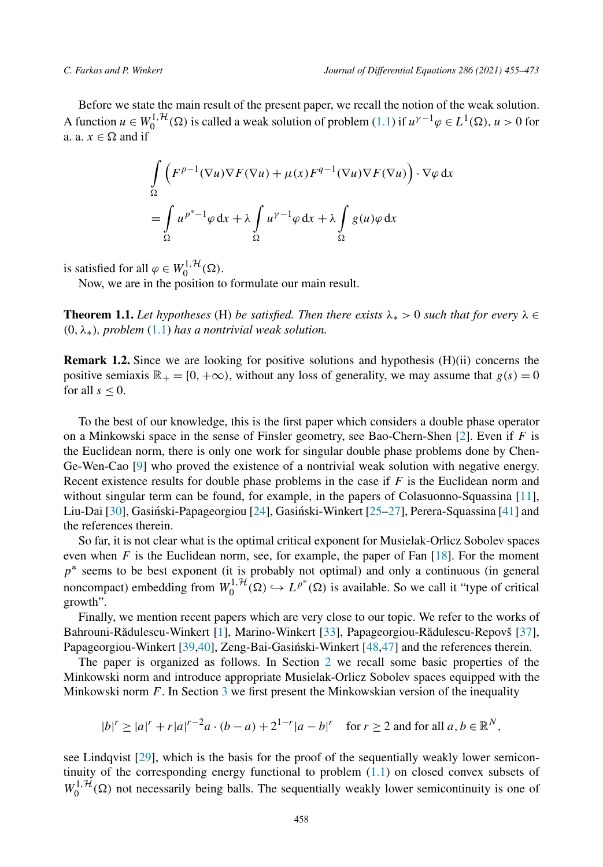<span id="page-3-0"></span>Before we state the main result of the present paper, we recall the notion of the weak solution. A function  $u \in W_0^{1, H}(\Omega)$  is called a weak solution of problem ([1.1](#page-1-0)) if  $u^{\gamma-1}\varphi \in L^1(\Omega)$ ,  $u > 0$  for a.  $a, x \in \Omega$  and if

$$
\int_{\Omega} \left( F^{p-1}(\nabla u) \nabla F(\nabla u) + \mu(x) F^{q-1}(\nabla u) \nabla F(\nabla u) \right) \cdot \nabla \varphi \, dx
$$
\n
$$
= \int_{\Omega} u^{p^* - 1} \varphi \, dx + \lambda \int_{\Omega} u^{\gamma - 1} \varphi \, dx + \lambda \int_{\Omega} g(u) \varphi \, dx
$$

is satisfied for all  $\varphi \in W_0^{1, \mathcal{H}}(\Omega)$ .

Now, we are in the position to formulate our main result.

**Theorem 1.1.** *Let hypotheses* (H) *be satisfied. Then there exists*  $\lambda_* > 0$  *such that for every*  $\lambda \in$ *(*0*, λ*∗*), problem* [\(1.1\)](#page-1-0) *has a nontrivial weak solution.*

**Remark 1.2.** Since we are looking for positive solutions and hypothesis (H)(ii) concerns the positive semiaxis  $\mathbb{R}_+ = [0, +\infty)$ , without any loss of generality, we may assume that  $g(s) = 0$ for all  $s < 0$ .

To the best of our knowledge, this is the first paper which considers a double phase operator on a Minkowski space in the sense of Finsler geometry, see Bao-Chern-Shen [\[2](#page-17-0)]. Even if *F* is the Euclidean norm, there is only one work for singular double phase problems done by Chen-Ge-Wen-Cao [\[9](#page-17-0)] who proved the existence of a nontrivial weak solution with negative energy. Recent existence results for double phase problems in the case if *F* is the Euclidean norm and without singular term can be found, for example, in the papers of Colasuonno-Squassina [\[11](#page-17-0)], Liu-Dai [\[30](#page-18-0)], Gasiński-Papageorgiou [\[24](#page-17-0)], Gasiński-Winkert [[25–](#page-17-0)[27\]](#page-18-0), Perera-Squassina [\[41](#page-18-0)] and the references therein.

So far, it is not clear what is the optimal critical exponent for Musielak-Orlicz Sobolev spaces even when  $F$  is the Euclidean norm, see, for example, the paper of Fan  $[18]$  $[18]$ . For the moment *p*<sup>∗</sup> seems to be best exponent (it is probably not optimal) and only a continuous (in general noncompact) embedding from  $W_0^{1, H}(\Omega) \hookrightarrow L^{p^*}(\Omega)$  is available. So we call it "type of critical growth".

Finally, we mention recent papers which are very close to our topic. We refer to the works of Bahrouni-Rădulescu-Winkert [\[1](#page-17-0)], Marino-Winkert [[33\]](#page-18-0), Papageorgiou-Rădulescu-Repovš [\[37](#page-18-0)], Papageorgiou-Winkert [\[39](#page-18-0),[40\]](#page-18-0), Zeng-Bai-Gasiński-Winkert [\[48,47\]](#page-18-0) and the references therein.

The paper is organized as follows. In Section [2](#page-4-0) we recall some basic properties of the Minkowski norm and introduce appropriate Musielak-Orlicz Sobolev spaces equipped with the Minkowski norm *F*. In Section [3](#page-7-0) we first present the Minkowskian version of the inequality

$$
|b|^r \ge |a|^r + r|a|^{r-2}a \cdot (b-a) + 2^{1-r}|a-b|^r
$$
 for  $r \ge 2$  and for all  $a, b \in \mathbb{R}^N$ ,

see Lindqvist [\[29](#page-18-0)], which is the basis for the proof of the sequentially weakly lower semicontinuity of the corresponding energy functional to problem [\(1.1\)](#page-1-0) on closed convex subsets of  $W_0^{1, H}(\Omega)$  not necessarily being balls. The sequentially weakly lower semicontinuity is one of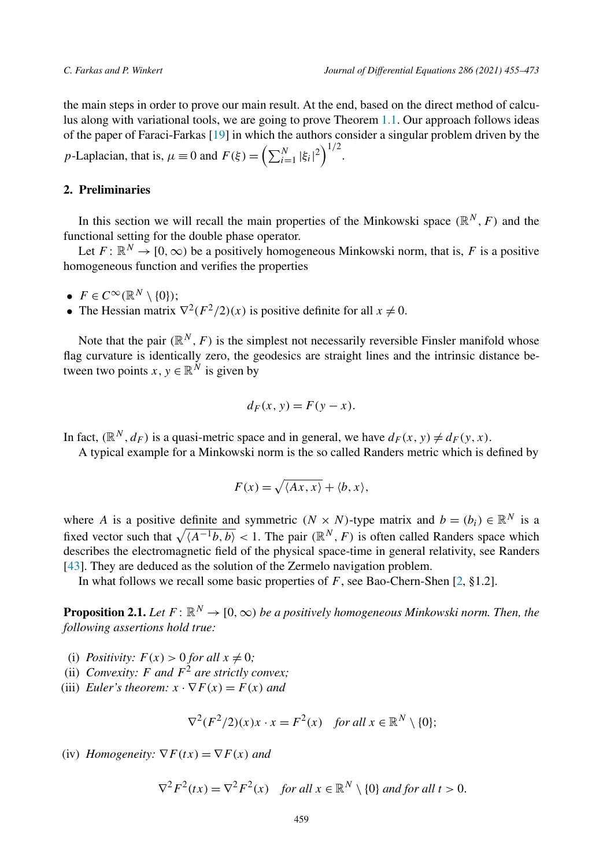<span id="page-4-0"></span>the main steps in order to prove our main result. At the end, based on the direct method of calculus along with variational tools, we are going to prove Theorem [1.1.](#page-3-0) Our approach follows ideas of the paper of Faraci-Farkas [[19\]](#page-17-0) in which the authors consider a singular problem driven by the *p*-Laplacian, that is,  $\mu \equiv 0$  and  $F(\xi) = \left(\sum_{i=1}^{N} |\xi_i|^2\right)^{1/2}$ .

# **2. Preliminaries**

In this section we will recall the main properties of the Minkowski space  $(\mathbb{R}^N, F)$  and the functional setting for the double phase operator.

Let  $F: \mathbb{R}^N \to [0, \infty)$  be a positively homogeneous Minkowski norm, that is, F is a positive homogeneous function and verifies the properties

- $F \in C^{\infty}(\mathbb{R}^N \setminus \{0\})$ ;
- The Hessian matrix  $\nabla^2 (F^2/2)(x)$  is positive definite for all  $x \neq 0$ .

Note that the pair  $(\mathbb{R}^N, F)$  is the simplest not necessarily reversible Finsler manifold whose flag curvature is identically zero, the geodesics are straight lines and the intrinsic distance between two points *x*,  $y \in \mathbb{R}^N$  is given by

$$
d_F(x, y) = F(y - x).
$$

In fact,  $(\mathbb{R}^N, d_F)$  is a quasi-metric space and in general, we have  $d_F(x, y) \neq d_F(y, x)$ .

A typical example for a Minkowski norm is the so called Randers metric which is defined by

$$
F(x) = \sqrt{\langle Ax, x \rangle} + \langle b, x \rangle,
$$

where *A* is a positive definite and symmetric  $(N \times N)$ -type matrix and  $b = (b_i) \in \mathbb{R}^N$  is a fixed vector such that  $\sqrt{\langle A^{-1}b, b \rangle} < 1$ . The pair  $(\mathbb{R}^N, F)$  is often called Randers space which describes the electromagnetic field of the physical space-time in general relativity, see Randers [[43\]](#page-18-0). They are deduced as the solution of the Zermelo navigation problem.

In what follows we recall some basic properties of *F*, see Bao-Chern-Shen [[2,](#page-17-0) §1.2].

**Proposition 2.1.** Let  $F: \mathbb{R}^N \to [0, \infty)$  be a positively homogeneous Minkowski norm. Then, the *following assertions hold true:*

- (i) *Positivity:*  $F(x) > 0$  *for all*  $x \neq 0$ ;
- (ii) *Convexity:*  $F$  *and*  $F^2$  *are strictly convex;*
- (iii) *Euler's theorem:*  $x \cdot \nabla F(x) = F(x)$  *and*

$$
\nabla^2 (F^2/2)(x) x \cdot x = F^2(x) \quad \text{for all } x \in \mathbb{R}^N \setminus \{0\};
$$

(iv) *Homogeneity:*  $\nabla F(tx) = \nabla F(x)$  *and* 

$$
\nabla^2 F^2(tx) = \nabla^2 F^2(x) \quad \text{for all } x \in \mathbb{R}^N \setminus \{0\} \text{ and for all } t > 0.
$$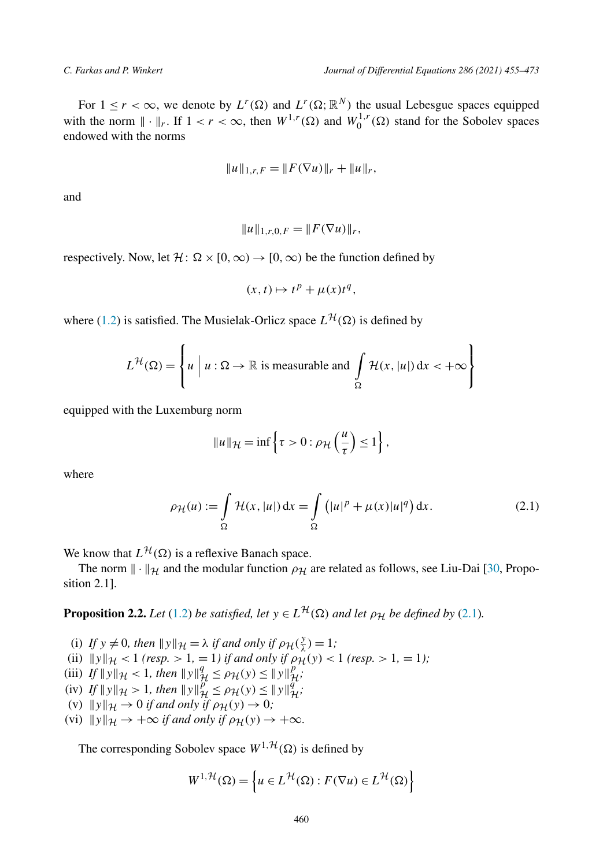<span id="page-5-0"></span>For  $1 \le r < \infty$ , we denote by  $L^r(\Omega)$  and  $L^r(\Omega; \mathbb{R}^N)$  the usual Lebesgue spaces equipped with the norm  $\|\cdot\|_r$ . If  $1 < r < \infty$ , then  $W^{1,r}(\Omega)$  and  $W_0^{1,r}(\Omega)$  stand for the Sobolev spaces endowed with the norms

$$
||u||_{1,r,F} = ||F(\nabla u)||_r + ||u||_r,
$$

and

$$
||u||_{1,r,0,F} = ||F(\nabla u)||_r,
$$

respectively. Now, let  $\mathcal{H}$ :  $\Omega \times [0, \infty) \to [0, \infty)$  be the function defined by

$$
(x,t)\mapsto t^p+\mu(x)t^q,
$$

where ([1.2](#page-1-0)) is satisfied. The Musielak-Orlicz space  $L^{H}(\Omega)$  is defined by

$$
L^{\mathcal{H}}(\Omega) = \left\{ u \mid u : \Omega \to \mathbb{R} \text{ is measurable and } \int_{\Omega} \mathcal{H}(x, |u|) dx < +\infty \right\}
$$

equipped with the Luxemburg norm

$$
||u||_{\mathcal{H}} = \inf \left\{ \tau > 0 : \rho_{\mathcal{H}} \left( \frac{u}{\tau} \right) \le 1 \right\},\
$$

where

$$
\rho_{\mathcal{H}}(u) := \int_{\Omega} \mathcal{H}(x, |u|) dx = \int_{\Omega} (|u|^p + \mu(x)|u|^q) dx.
$$
 (2.1)

We know that  $L^{\mathcal{H}}(\Omega)$  is a reflexive Banach space.

The norm  $\|\cdot\|_{\mathcal{H}}$  and the modular function  $\rho_{\mathcal{H}}$  are related as follows, see Liu-Dai [\[30](#page-18-0), Proposition 2.1].

**Proposition 2.2.** *Let* [\(1.2\)](#page-1-0) *be satisfied, let*  $y \in L^{\mathcal{H}}(\Omega)$  *and let*  $\rho_{\mathcal{H}}$  *be defined by* (2.1)*.* 

(i) *If*  $y \neq 0$ *, then*  $||y||_{\mathcal{H}} = \lambda$  *if and only if*  $\rho_{\mathcal{H}}(\frac{y}{\lambda}) = 1$ *;* (ii)  $\|y\|_{\mathcal{H}} < 1$  (resp.  $> 1, = 1$ ) if and only if  $\rho_{\mathcal{H}}(y) < 1$  (resp.  $> 1, = 1$ ); (iii)  $\hat{H} \|\mathbf{y}\|_{\mathcal{H}} < 1$ , then  $\|\mathbf{y}\|_{\mathcal{H}}^q \le \rho_{\mathcal{H}}(\mathbf{y}) \le \|\mathbf{y}\|_{\mathcal{H}}^p$ ; (iv) If  $||y||_{\mathcal{H}} > 1$ , then  $||y||_{\mathcal{H}}^{\beta} \le \rho_{\mathcal{H}}(y) \le ||y||_{\mathcal{H}}^{q'}$ ;<br>(i)  $||y||_{\mathcal{H}}^{\beta}$ ; (v)  $\|y\|_{\mathcal{H}} \to 0$  *if and only if*  $\rho_{\mathcal{H}}(y) \to 0$ *;* (vi)  $\|y\|_{\mathcal{H}} \to +\infty$  *if and only if*  $\rho_{\mathcal{H}}(y) \to +\infty$ *.* 

The corresponding Sobolev space  $W^{1, \mathcal{H}}(\Omega)$  is defined by

$$
W^{1,\mathcal{H}}(\Omega) = \left\{ u \in L^{\mathcal{H}}(\Omega) : F(\nabla u) \in L^{\mathcal{H}}(\Omega) \right\}
$$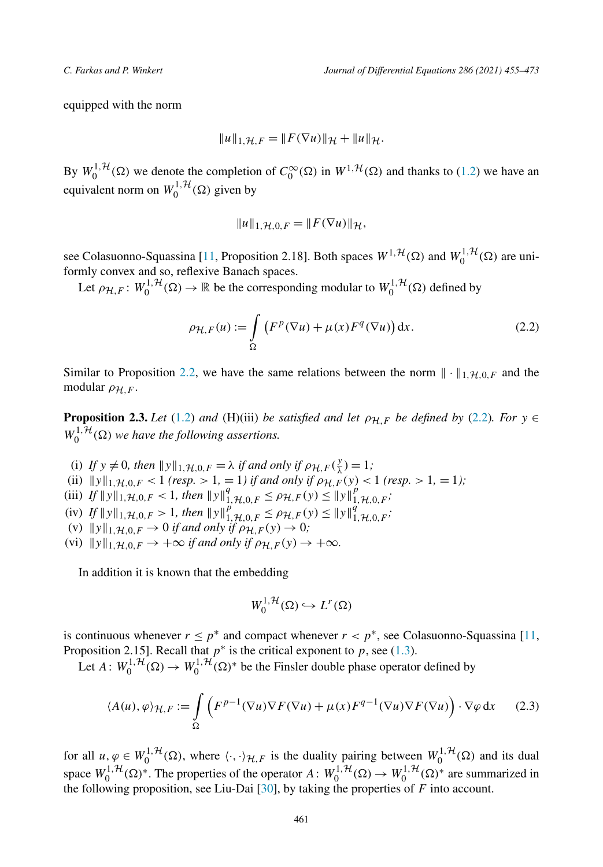<span id="page-6-0"></span>equipped with the norm

$$
||u||_{1,\mathcal{H},F} = ||F(\nabla u)||_{\mathcal{H}} + ||u||_{\mathcal{H}}.
$$

By  $W_0^{1,1}(\Omega)$  we denote the completion of  $C_0^{\infty}(\Omega)$  in  $W^{1,1}(\Omega)$  and thanks to ([1.2](#page-1-0)) we have an equivalent norm on  $W_0^{1, H}(\Omega)$  given by

$$
||u||_{1,\mathcal{H},0,F} = ||F(\nabla u)||_{\mathcal{H}},
$$

see Colasuonno-Squassina [\[11](#page-17-0), Proposition 2.18]. Both spaces  $W^{1, H}(\Omega)$  and  $W_0^{1, H}(\Omega)$  are uniformly convex and so, reflexive Banach spaces.

Let  $\rho_{\mathcal{H},F}: W_0^{1,\mathcal{H}}(\Omega) \to \mathbb{R}$  be the corresponding modular to  $W_0^{1,\mathcal{H}}(\Omega)$  defined by

$$
\rho_{\mathcal{H},F}(u) := \int_{\Omega} \left( F^p(\nabla u) + \mu(x) F^q(\nabla u) \right) dx.
$$
 (2.2)

Similar to Proposition [2.2](#page-5-0), we have the same relations between the norm  $\|\cdot\|_{H}$  *H*  $_0$  *F* and the modular  $ρ$ <sub>H</sub>  $_F$ .

**Proposition 2.3.** *Let* [\(1.2\)](#page-1-0) *and* (H)(iii) *be satisfied and let*  $\rho_{H,F}$  *be defined by* (2.2)*. For y* ∈  $W_0^{1, H}(\Omega)$  *we have the following assertions.* 

- (i) *If*  $y \neq 0$ *, then*  $||y||_{1,\mathcal{H},0,F} = \lambda$  *if and only if*  $\rho_{\mathcal{H},F}(\frac{y}{\lambda}) = 1$ *;*
- (ii)  $||y||_{1,\mathcal{H},0,F} < 1$  (resp. > 1, = 1) if and only if  $\rho_{\mathcal{H},F}(y) < 1$  (resp. > 1, = 1);
- (iii) *If*  $||y||_{1,\mathcal{H},0,F} < 1$ , then  $||y||_{1,\mathcal{H},0,F}^q \leq \rho_{\mathcal{H},F}(y) \leq ||y||_{1,\mathcal{H},0,F}^p$ ;
- $f(x) = \frac{f}{f} \left\|y\right\|_{1, \mathcal{H}, 0, F}^{1, \mathcal{H}} > 1, \text{ then } \left\|y\right\|_{1, \mathcal{H}, 0, F}^{p^{\mathcal{H}}}\leq \rho_{\mathcal{H}, F}(y) \leq \left\|y\right\|_{1, \mathcal{H}, 0, F}^{q^{\mathcal{H}}},$
- (v)  $\|y\|_{1,\mathcal{H},0,F} \to 0$  *if and only if*  $\rho_{\mathcal{H},F}(y) \to 0$ ;
- (vi)  $\|y\|_{1,\mathcal{H},0,F} \to +\infty$  *if and only if*  $\rho_{\mathcal{H},F}(y) \to +\infty$ *.*

In addition it is known that the embedding

$$
W_0^{1,\mathcal{H}}(\Omega) \hookrightarrow L^r(\Omega)
$$

is continuous whenever  $r \leq p^*$  and compact whenever  $r < p^*$ , see Colasuonno-Squassina [[11,](#page-17-0) Proposition 2.15]. Recall that  $p^*$  is the critical exponent to  $p$ , see [\(1.3\)](#page-2-0).

Let  $A: W_0^{1, H}(\Omega) \to W_0^{1, H}(\Omega)^*$  be the Finsler double phase operator defined by

$$
\langle A(u), \varphi \rangle_{\mathcal{H}, F} := \int_{\Omega} \left( F^{p-1}(\nabla u) \nabla F(\nabla u) + \mu(x) F^{q-1}(\nabla u) \nabla F(\nabla u) \right) \cdot \nabla \varphi \, dx \qquad (2.3)
$$

for all  $u, \varphi \in W_0^{1,1}(\Omega)$ , where  $\langle \cdot, \cdot \rangle_{\mathcal{H},F}$  is the duality pairing between  $W_0^{1,1}(\Omega)$  and its dual space  $W_0^{1, H}(\Omega)^*$ . The properties of the operator  $A: W_0^{1, H}(\Omega) \to W_0^{1, H}(\Omega)^*$  are summarized in the following proposition, see Liu-Dai  $[30]$  $[30]$ , by taking the properties of *F* into account.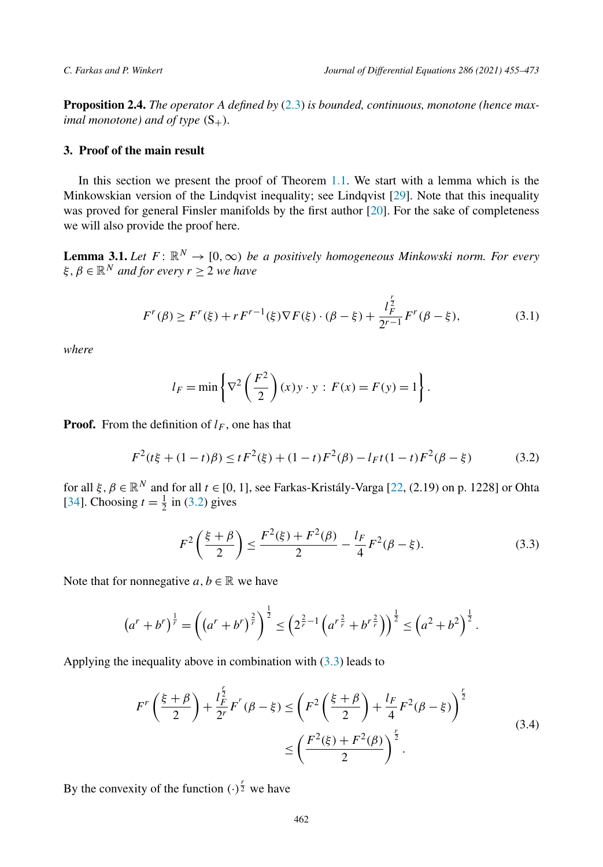<span id="page-7-0"></span>**Proposition 2.4.** *The operator A defined by* ([2.3](#page-6-0)) *is bounded, continuous, monotone (hence maximal monotone) and of type*  $(S_+)$ *.* 

# **3. Proof of the main result**

In this section we present the proof of Theorem [1.1](#page-3-0). We start with a lemma which is the Minkowskian version of the Lindqvist inequality; see Lindqvist [[29\]](#page-18-0). Note that this inequality was proved for general Finsler manifolds by the first author [\[20](#page-17-0)]. For the sake of completeness we will also provide the proof here.

**Lemma 3.1.** *Let*  $F: \mathbb{R}^N \to [0, \infty)$  *be a positively homogeneous Minkowski norm. For every*  $\hat{\xi}, \beta \in \mathbb{R}^N$  *and for every*  $r \geq 2$  *we have* 

$$
F^{r}(\beta) \ge F^{r}(\xi) + rF^{r-1}(\xi)\nabla F(\xi) \cdot (\beta - \xi) + \frac{l_{F}^{\frac{r}{2}}}{2^{r-1}}F^{r}(\beta - \xi),
$$
\n(3.1)

*where*

$$
l_F = \min \left\{ \nabla^2 \left( \frac{F^2}{2} \right) (x) y \cdot y : F(x) = F(y) = 1 \right\}.
$$

**Proof.** From the definition of  $l_F$ , one has that

$$
F^{2}(t\xi + (1-t)\beta) \le tF^{2}(\xi) + (1-t)F^{2}(\beta) - l_{F}t(1-t)F^{2}(\beta - \xi)
$$
 (3.2)

for all  $\xi, \beta \in \mathbb{R}^N$  and for all  $t \in [0, 1]$ , see Farkas-Kristály-Varga [[22,](#page-17-0) (2.19) on p. 1228] or Ohta [[34\]](#page-18-0). Choosing  $t = \frac{1}{2}$  in (3.2) gives

$$
F^{2}\left(\frac{\xi+\beta}{2}\right) \le \frac{F^{2}(\xi) + F^{2}(\beta)}{2} - \frac{l_{F}}{4}F^{2}(\beta - \xi). \tag{3.3}
$$

Note that for nonnegative  $a, b \in \mathbb{R}$  we have

$$
\left(a^r+b^r\right)^{\frac{1}{r}}=\left(\left(a^r+b^r\right)^{\frac{2}{r}}\right)^{\frac{1}{2}}\leq \left(2^{\frac{2}{r}-1}\left(a^{r\frac{2}{r}}+b^{r\frac{2}{r}}\right)\right)^{\frac{1}{2}}\leq \left(a^2+b^2\right)^{\frac{1}{2}}.
$$

Applying the inequality above in combination with (3.3) leads to

$$
F'\left(\frac{\xi+\beta}{2}\right) + \frac{l_F^2}{2^r}F'(\beta-\xi) \le \left(F^2\left(\frac{\xi+\beta}{2}\right) + \frac{l_F}{4}F^2(\beta-\xi)\right)^{\frac{r}{2}}
$$
  
 
$$
\le \left(\frac{F^2(\xi) + F^2(\beta)}{2}\right)^{\frac{r}{2}}.
$$
 (3.4)

By the convexity of the function  $(\cdot)^{\frac{r}{2}}$  we have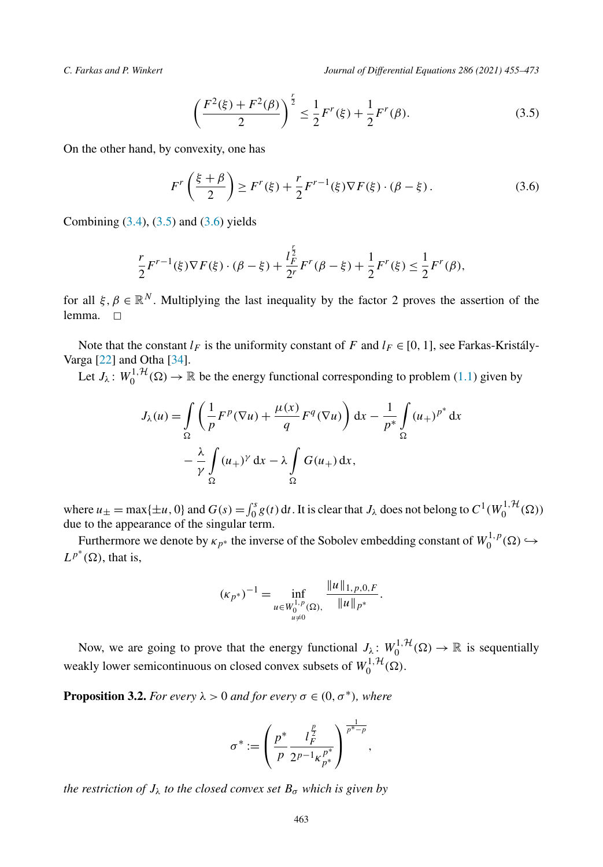<span id="page-8-0"></span>

$$
\left(\frac{F^2(\xi) + F^2(\beta)}{2}\right)^{\frac{r}{2}} \le \frac{1}{2}F^r(\xi) + \frac{1}{2}F^r(\beta).
$$
\n(3.5)

On the other hand, by convexity, one has

$$
F'\left(\frac{\xi+\beta}{2}\right) \ge F'(\xi) + \frac{r}{2}F^{r-1}(\xi)\nabla F(\xi) \cdot (\beta-\xi). \tag{3.6}
$$

Combining  $(3.4)$ ,  $(3.5)$  and  $(3.6)$  yields

$$
\frac{r}{2}F^{r-1}(\xi)\nabla F(\xi)\cdot(\beta-\xi)+\frac{l_F^{\frac{r}{2}}}{2^r}F^r(\beta-\xi)+\frac{1}{2}F^r(\xi)\leq \frac{1}{2}F^r(\beta),
$$

for all  $\xi, \beta \in \mathbb{R}^N$ . Multiplying the last inequality by the factor 2 proves the assertion of the lemma.  $\Box$ 

Note that the constant  $l_F$  is the uniformity constant of *F* and  $l_F \in [0, 1]$ , see Farkas-Kristály-Varga [\[22](#page-17-0)] and Otha [\[34](#page-18-0)].

Let  $J_\lambda: W_0^{1,1}(\Omega) \to \mathbb{R}$  be the energy functional corresponding to problem [\(1.1\)](#page-1-0) given by

$$
J_{\lambda}(u) = \int_{\Omega} \left( \frac{1}{p} F^{p} (\nabla u) + \frac{\mu(x)}{q} F^{q} (\nabla u) \right) dx - \frac{1}{p^{*}} \int_{\Omega} (u_{+})^{p^{*}} dx
$$

$$
- \frac{\lambda}{\gamma} \int_{\Omega} (u_{+})^{p} dx - \lambda \int_{\Omega} G(u_{+}) dx,
$$

where  $u_{\pm} = \max{\pm u, 0}$  and  $G(s) = \int_0^s g(t) dt$ . It is clear that  $J_\lambda$  does not belong to  $C^1(W_0^{1, \mathcal{H}}(\Omega))$ due to the appearance of the singular term.

Furthermore we denote by  $\kappa_{p^*}$  the inverse of the Sobolev embedding constant of  $W_0^{1,p}(\Omega) \hookrightarrow$  $L^{p^*}(\Omega)$ , that is,

$$
(\kappa_{p^*})^{-1} = \inf_{\substack{u \in W_0^{1,p}(\Omega), \\ u \neq 0}} \frac{\|u\|_{1,p,0,F}}{\|u\|_{p^*}}.
$$

Now, we are going to prove that the energy functional  $J_{\lambda}$ :  $W_0^{1, H}(\Omega) \to \mathbb{R}$  is sequentially weakly lower semicontinuous on closed convex subsets of  $W_0^{1, H}(\Omega)$ .

**Proposition 3.2.** For every  $\lambda > 0$  and for every  $\sigma \in (0, \sigma^*)$ , where

$$
\sigma^* := \left(\frac{p^*}{p} \frac{l_F^{\frac{p}{2}}}{2^{p-1} \kappa_{p^*}^{p^*}}\right)^{\frac{1}{p^*-p}},
$$

*the restriction of*  $J_{\lambda}$  *to the closed convex set*  $B_{\sigma}$  *which is given by*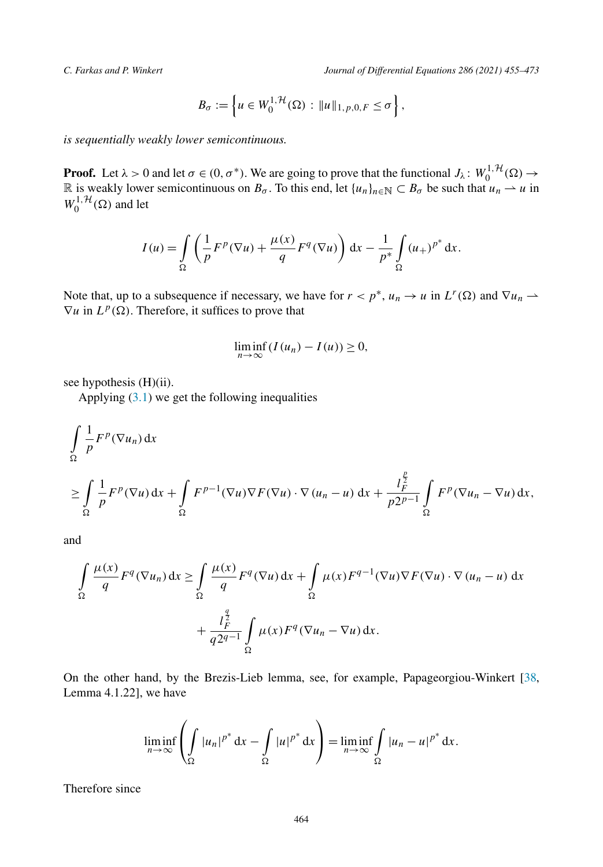$$
B_{\sigma} := \left\{ u \in W_0^{1, \mathcal{H}}(\Omega) : ||u||_{1, p, 0, F} \leq \sigma \right\},\
$$

*is sequentially weakly lower semicontinuous.*

**Proof.** Let  $\lambda > 0$  and let  $\sigma \in (0, \sigma^*)$ . We are going to prove that the functional  $J_{\lambda} : W_0^{1, \mathcal{H}}(\Omega) \to$ R is weakly lower semicontinuous on  $B_{\sigma}$ . To this end, let  $\{u_n\}_{n\in\mathbb{N}}\subset B_{\sigma}$  be such that  $u_n\to u$  in  $W_0^{1, \mathcal{H}}(\Omega)$  and let

$$
I(u) = \int_{\Omega} \left( \frac{1}{p} F^p(\nabla u) + \frac{\mu(x)}{q} F^q(\nabla u) \right) dx - \frac{1}{p^*} \int_{\Omega} (u_+)^{p^*} dx.
$$

Note that, up to a subsequence if necessary, we have for  $r < p^*$ ,  $u_n \to u$  in  $L^r(\Omega)$  and  $\nabla u_n \to u$  $\nabla u$  in  $L^p(\Omega)$ . Therefore, it suffices to prove that

$$
\liminf_{n\to\infty} (I(u_n) - I(u)) \ge 0,
$$

see hypothesis (H)(ii).

Applying [\(3.1\)](#page-7-0) we get the following inequalities

$$
\int_{\Omega} \frac{1}{p} F^p(\nabla u_n) dx
$$
\n
$$
\geq \int_{\Omega} \frac{1}{p} F^p(\nabla u) dx + \int_{\Omega} F^{p-1}(\nabla u) \nabla F(\nabla u) \cdot \nabla (u_n - u) dx + \frac{l_F^{\frac{p}{2}}}{p^{2p-1}} \int_{\Omega} F^p(\nabla u_n - \nabla u) dx,
$$

and

$$
\int_{\Omega} \frac{\mu(x)}{q} F^{q}(\nabla u_{n}) dx \ge \int_{\Omega} \frac{\mu(x)}{q} F^{q}(\nabla u) dx + \int_{\Omega} \mu(x) F^{q-1}(\nabla u) \nabla F(\nabla u) \cdot \nabla (u_{n} - u) dx + \frac{l_{F}^{\frac{q}{2}}}{q 2^{q-1}} \int_{\Omega} \mu(x) F^{q}(\nabla u_{n} - \nabla u) dx.
$$

On the other hand, by the Brezis-Lieb lemma, see, for example, Papageorgiou-Winkert [[38,](#page-18-0) Lemma 4.1.22], we have

$$
\liminf_{n\to\infty}\left(\int_{\Omega}|u_n|^{p^*}\,dx-\int_{\Omega}|u|^{p^*}\,dx\right)=\liminf_{n\to\infty}\int_{\Omega}|u_n-u|^{p^*}\,dx.
$$

Therefore since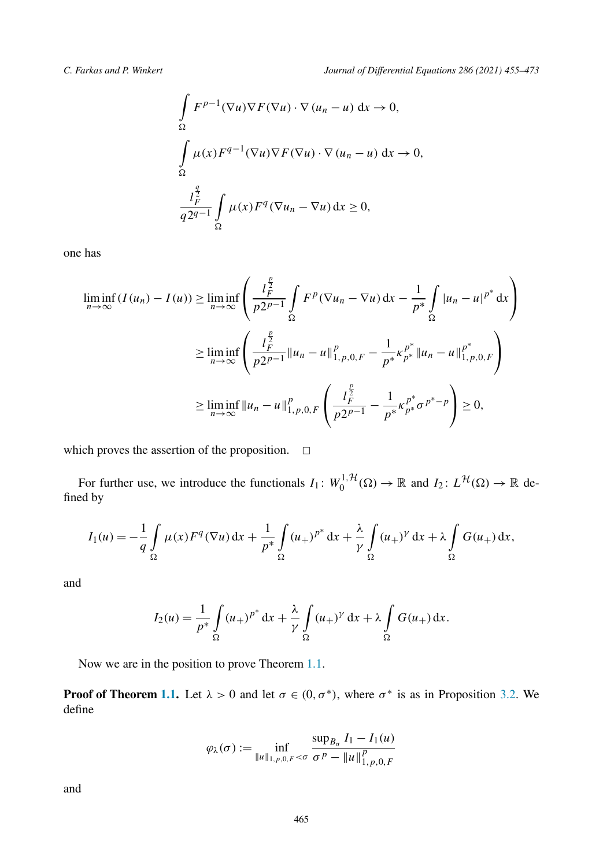$$
\int_{\Omega} F^{p-1}(\nabla u) \nabla F(\nabla u) \cdot \nabla (u_n - u) dx \to 0,
$$
  

$$
\int_{\Omega} \mu(x) F^{q-1}(\nabla u) \nabla F(\nabla u) \cdot \nabla (u_n - u) dx \to 0,
$$
  

$$
\frac{l_F^{\frac{q}{2}}}{q2^{q-1}} \int_{\Omega} \mu(x) F^q(\nabla u_n - \nabla u) dx \ge 0,
$$

one has

$$
\liminf_{n \to \infty} (I(u_n) - I(u)) \ge \liminf_{n \to \infty} \left( \frac{l_F^{\frac{p}{2}}}{p2^{p-1}} \int_{\Omega} F^p (\nabla u_n - \nabla u) \, dx - \frac{1}{p^*} \int_{\Omega} |u_n - u|^{p^*} \, dx \right)
$$
\n
$$
\ge \liminf_{n \to \infty} \left( \frac{l_F^{\frac{p}{2}}}{p2^{p-1}} \|u_n - u\|_{1, p, 0, F}^p - \frac{1}{p^*} \kappa_{p^*}^{p^*} \|u_n - u\|_{1, p, 0, F}^{p^*} \right)
$$
\n
$$
\ge \liminf_{n \to \infty} \|u_n - u\|_{1, p, 0, F}^p \left( \frac{l_F^{\frac{p}{2}}}{p2^{p-1}} - \frac{1}{p^*} \kappa_{p^*}^{p^*} \sigma^{p^* - p} \right) \ge 0,
$$

which proves the assertion of the proposition.  $\Box$ 

For further use, we introduce the functionals  $I_1: W_0^{1, H}(\Omega) \to \mathbb{R}$  and  $I_2: L^H(\Omega) \to \mathbb{R}$  defined by

$$
I_1(u) = -\frac{1}{q} \int_{\Omega} \mu(x) F^q(\nabla u) \, dx + \frac{1}{p^*} \int_{\Omega} (u_+)^{p^*} \, dx + \frac{\lambda}{\gamma} \int_{\Omega} (u_+)^{\gamma} \, dx + \lambda \int_{\Omega} G(u_+) \, dx,
$$

and

$$
I_2(u) = \frac{1}{p^*} \int_{\Omega} (u_+)^{p^*} dx + \frac{\lambda}{\gamma} \int_{\Omega} (u_+)^{\gamma} dx + \lambda \int_{\Omega} G(u_+) dx.
$$

Now we are in the position to prove Theorem [1.1](#page-3-0).

**Proof of Theorem [1.1](#page-3-0).** Let  $\lambda > 0$  and let  $\sigma \in (0, \sigma^*)$ , where  $\sigma^*$  is as in Proposition [3.2](#page-8-0). We define

$$
\varphi_{\lambda}(\sigma) := \inf_{\|u\|_{1,p,0,F} < \sigma} \frac{\sup_{B_{\sigma}} I_1 - I_1(u)}{\sigma^p - \|u\|_{1,p,0,F}^p}
$$

and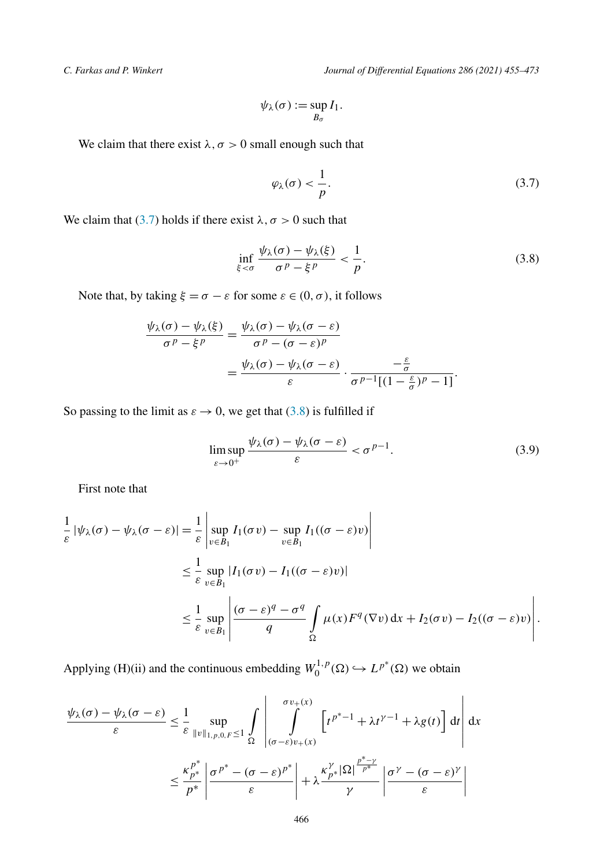<span id="page-11-0"></span>

$$
\psi_{\lambda}(\sigma) := \sup_{B_{\sigma}} I_1.
$$

We claim that there exist  $\lambda$ ,  $\sigma > 0$  small enough such that

$$
\varphi_{\lambda}(\sigma) < \frac{1}{p}.\tag{3.7}
$$

We claim that (3.7) holds if there exist  $\lambda$ ,  $\sigma > 0$  such that

$$
\inf_{\xi < \sigma} \frac{\psi_{\lambda}(\sigma) - \psi_{\lambda}(\xi)}{\sigma^p - \xi^p} < \frac{1}{p}.\tag{3.8}
$$

Note that, by taking  $\xi = \sigma - \varepsilon$  for some  $\varepsilon \in (0, \sigma)$ , it follows

$$
\frac{\psi_{\lambda}(\sigma) - \psi_{\lambda}(\xi)}{\sigma^{p} - \xi^{p}} = \frac{\psi_{\lambda}(\sigma) - \psi_{\lambda}(\sigma - \varepsilon)}{\sigma^{p} - (\sigma - \varepsilon)^{p}} \n= \frac{\psi_{\lambda}(\sigma) - \psi_{\lambda}(\sigma - \varepsilon)}{\varepsilon} \cdot \frac{-\frac{\varepsilon}{\sigma}}{\sigma^{p-1}[(1 - \frac{\varepsilon}{\sigma})^{p} - 1]}.
$$

So passing to the limit as  $\varepsilon \to 0$ , we get that (3.8) is fulfilled if

$$
\limsup_{\varepsilon \to 0^+} \frac{\psi_\lambda(\sigma) - \psi_\lambda(\sigma - \varepsilon)}{\varepsilon} < \sigma^{p-1}.\tag{3.9}
$$

First note that

$$
\frac{1}{\varepsilon} |\psi_{\lambda}(\sigma) - \psi_{\lambda}(\sigma - \varepsilon)| = \frac{1}{\varepsilon} \left| \sup_{v \in B_1} I_1(\sigma v) - \sup_{v \in B_1} I_1((\sigma - \varepsilon)v) \right|
$$
  
\n
$$
\leq \frac{1}{\varepsilon} \sup_{v \in B_1} |I_1(\sigma v) - I_1((\sigma - \varepsilon)v)|
$$
  
\n
$$
\leq \frac{1}{\varepsilon} \sup_{v \in B_1} \left| \frac{(\sigma - \varepsilon)^q - \sigma^q}{q} \int_{\Omega} \mu(x) F^q(\nabla v) dx + I_2(\sigma v) - I_2((\sigma - \varepsilon)v) \right|.
$$

Applying (H)(ii) and the continuous embedding  $W_0^{1,p}(\Omega) \hookrightarrow L^{p^*}(\Omega)$  we obtain

$$
\frac{\psi_{\lambda}(\sigma) - \psi_{\lambda}(\sigma - \varepsilon)}{\varepsilon} \leq \frac{1}{\varepsilon} \sup_{\|v\|_{1, p, 0, F} \leq 1} \int_{\Omega} \left| \int_{(\sigma - \varepsilon)v_{+}(x)}^{\sigma v_{+}(x)} \left[ t^{p^{*} - 1} + \lambda t^{\gamma - 1} + \lambda g(t) \right] dt \right| dx
$$

$$
\leq \frac{\kappa_{p^{*}}^{p^{*}}}{p^{*}} \left| \frac{\sigma^{p^{*}} - (\sigma - \varepsilon)^{p^{*}}}{\varepsilon} \right| + \lambda \frac{\kappa_{p^{*}}^{\gamma} |\Omega|^{p^{*} - \gamma}}{\gamma} \left| \frac{\sigma^{\gamma} - (\sigma - \varepsilon)^{\gamma}}{\varepsilon} \right|
$$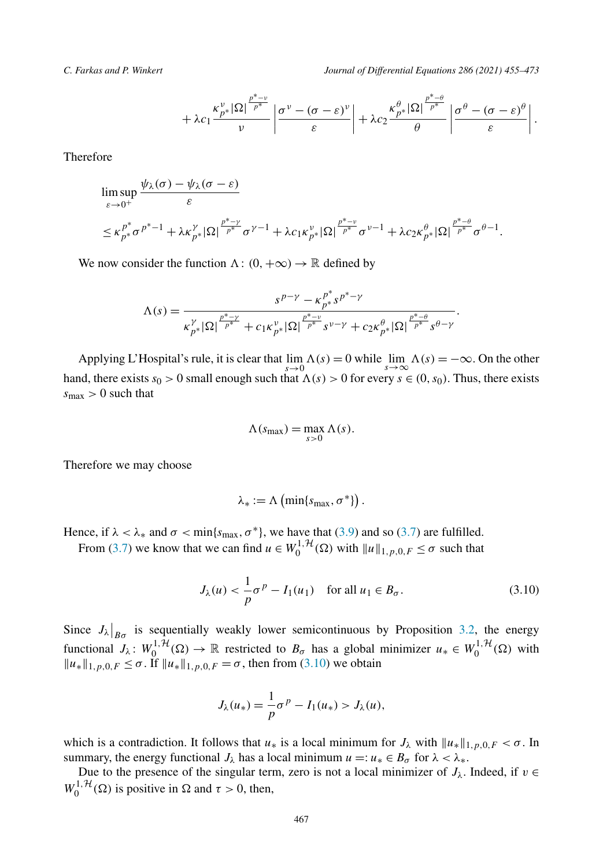$$
+\lambda c_1\frac{\kappa_{p*}^{\nu}|\Omega|^{\frac{p^{*}{p^{*}}}}}{\nu}\left|\frac{\sigma^{\nu}-(\sigma-\varepsilon)^{\nu}}{\varepsilon}\right|+\lambda c_2\frac{\kappa_{p*}^{\theta}|\Omega|^{\frac{p^{*}}{p^{*}}}}{\theta}\left|\frac{\sigma^{\theta}-(\sigma-\varepsilon)^{\theta}}{\varepsilon}\right|.
$$

Therefore

$$
\limsup_{\varepsilon \to 0^+} \frac{\psi_\lambda(\sigma) - \psi_\lambda(\sigma - \varepsilon)}{\varepsilon} \n\leq \kappa_{p^*}^{p^*} \sigma^{p^* - 1} + \lambda \kappa_{p^*}^{\gamma} |\Omega|^{\frac{p^* - \gamma}{p^*}} \sigma^{\gamma - 1} + \lambda c_1 \kappa_{p^*}^{\gamma} |\Omega|^{\frac{p^* - \gamma}{p^*}} \sigma^{\gamma - 1} + \lambda c_2 \kappa_{p^*}^{\theta} |\Omega|^{\frac{p^* - \theta}{p^*}} \sigma^{\theta - 1}.
$$

We now consider the function  $\Lambda: (0, +\infty) \to \mathbb{R}$  defined by

$$
\Lambda(s) = \frac{s^{p-\gamma} - \kappa_{p^*}^{p^*} s^{p^* - \gamma}}{\kappa_{p^*}^{\gamma} |\Omega|^{\frac{p^* - \gamma}{p^*}} + c_1 \kappa_{p^*}^{\gamma} |\Omega|^{\frac{p^* - \nu}{p^*}} s^{\nu - \gamma} + c_2 \kappa_{p^*}^{\theta} |\Omega|^{\frac{p^* - \theta}{p^*}} s^{\theta - \gamma}}.
$$

Applying L'Hospital's rule, it is clear that  $\lim_{s\to 0} \Lambda(s) = 0$  while  $\lim_{s\to \infty} \Lambda(s) = -\infty$ . On the other hand, there exists  $s_0 > 0$  small enough such that  $\Lambda(s) > 0$  for every  $s \in (0, s_0)$ . Thus, there exists  $s_{\text{max}} > 0$  such that

$$
\Lambda(s_{\max}) = \max_{s>0} \Lambda(s).
$$

Therefore we may choose

$$
\lambda_*:=\Lambda\left(\min\{s_{max},\sigma^*\}\right).
$$

Hence, if  $\lambda < \lambda_*$  and  $\sigma < \min\{s_{\max}, \sigma^*\}$ , we have that [\(3.9\)](#page-11-0) and so ([3.7](#page-11-0)) are fulfilled.

From ([3.7](#page-11-0)) we know that we can find  $u \in W_0^{1, H}(\Omega)$  with  $||u||_{1, p, 0, F} \le \sigma$  such that

$$
J_{\lambda}(u) < \frac{1}{p}\sigma^p - I_1(u_1) \quad \text{for all } u_1 \in B_{\sigma}.\tag{3.10}
$$

Since  $J_{\lambda}|_{B_{\sigma}}$  is sequentially weakly lower semicontinuous by Proposition [3.2](#page-8-0), the energy functional  $J_{\lambda}$ :  $W_0^{1, H}(\Omega) \to \mathbb{R}$  restricted to  $B_{\sigma}$  has a global minimizer  $u_* \in W_0^{1, H}(\Omega)$  with  $||u_*||_{1, p, 0, F} \leq \sigma$ . If  $||u_*||_{1, p, 0, F} = \sigma$ , then from (3.10) we obtain

$$
J_{\lambda}(u_{*})=\frac{1}{p}\sigma^{p}-I_{1}(u_{*})>J_{\lambda}(u),
$$

which is a contradiction. It follows that  $u_*$  is a local minimum for  $J_\lambda$  with  $||u_*||_{1, p, 0, F} < \sigma$ . In summary, the energy functional  $J_\lambda$  has a local minimum  $u =: u_* \in B_\sigma$  for  $\lambda < \lambda_*$ .

Due to the presence of the singular term, zero is not a local minimizer of  $J_\lambda$ . Indeed, if  $v \in$  $W_0^{1, \mathcal{H}}(\Omega)$  is positive in  $\Omega$  and  $\tau > 0$ , then,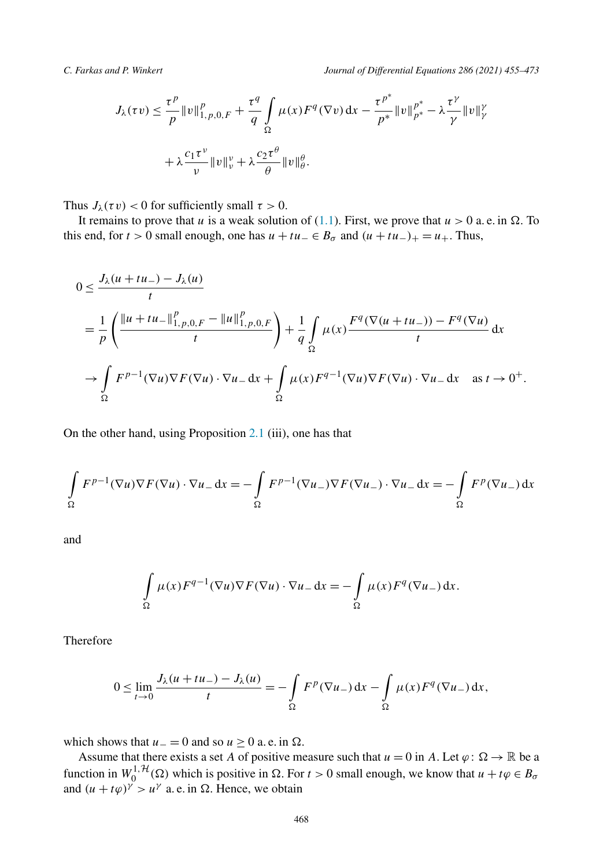$$
J_{\lambda}(\tau v) \leq \frac{\tau^{p}}{p} ||v||_{1,p,0,F}^{p} + \frac{\tau^{q}}{q} \int_{\Omega} \mu(x) F^{q}(\nabla v) dx - \frac{\tau^{p^{*}}}{p^{*}} ||v||_{p^{*}}^{p^{*}} - \lambda \frac{\tau^{\gamma}}{\gamma} ||v||_{\gamma}^{\gamma}
$$

$$
+ \lambda \frac{c_{1}\tau^{v}}{v} ||v||_{\nu}^{\nu} + \lambda \frac{c_{2}\tau^{\theta}}{\theta} ||v||_{\theta}^{\theta}.
$$

Thus  $J_{\lambda}(\tau v) < 0$  for sufficiently small  $\tau > 0$ .

It remains to prove that *u* is a weak solution of ([1.1](#page-1-0)). First, we prove that  $u > 0$  a. e. in  $\Omega$ . To this end, for *t* > 0 small enough, one has  $u + tu = \epsilon B_\sigma$  and  $(u + tu_-)_+ = u_+$ . Thus,

$$
0 \leq \frac{J_{\lambda}(u+tu_{-}) - J_{\lambda}(u)}{t}
$$
  
=  $\frac{1}{p} \left( \frac{\|u+tu_{-}\|_{1,p,0,F}^{p} - \|u\|_{1,p,0,F}^{p}}{t} \right) + \frac{1}{q} \int_{\Omega} \mu(x) \frac{F^{q}(\nabla(u+tu_{-})) - F^{q}(\nabla u)}{t} dx$   
 $\rightarrow \int_{\Omega} F^{p-1}(\nabla u) \nabla F(\nabla u) \cdot \nabla u_{-} dx + \int_{\Omega} \mu(x) F^{q-1}(\nabla u) \nabla F(\nabla u) \cdot \nabla u_{-} dx \text{ as } t \to 0^{+}.$ 

On the other hand, using Proposition [2.1](#page-4-0) (iii), one has that

$$
\int_{\Omega} F^{p-1}(\nabla u) \nabla F(\nabla u) \cdot \nabla u_{-} dx = -\int_{\Omega} F^{p-1}(\nabla u_{-}) \nabla F(\nabla u_{-}) \cdot \nabla u_{-} dx = -\int_{\Omega} F^{p}(\nabla u_{-}) dx
$$

and

$$
\int_{\Omega} \mu(x) F^{q-1}(\nabla u) \nabla F(\nabla u) \cdot \nabla u_{-} \, dx = -\int_{\Omega} \mu(x) F^{q}(\nabla u_{-}) \, dx.
$$

Therefore

$$
0 \leq \lim_{t \to 0} \frac{J_{\lambda}(u + tu_{-}) - J_{\lambda}(u)}{t} = -\int_{\Omega} F^{p}(\nabla u_{-}) dx - \int_{\Omega} \mu(x) F^{q}(\nabla u_{-}) dx,
$$

which shows that  $u_-=0$  and so  $u \ge 0$  a. e. in  $\Omega$ .

Assume that there exists a set *A* of positive measure such that  $u = 0$  in *A*. Let  $\varphi : \Omega \to \mathbb{R}$  be a function in  $W_0^{1,1}(\Omega)$  which is positive in  $\Omega$ . For  $t > 0$  small enough, we know that  $u + t\varphi \in B_0$ and  $(u + t\varphi)$ <sup>*γ*</sup>  $> u^{\gamma}$  a. e. in  $\Omega$ . Hence, we obtain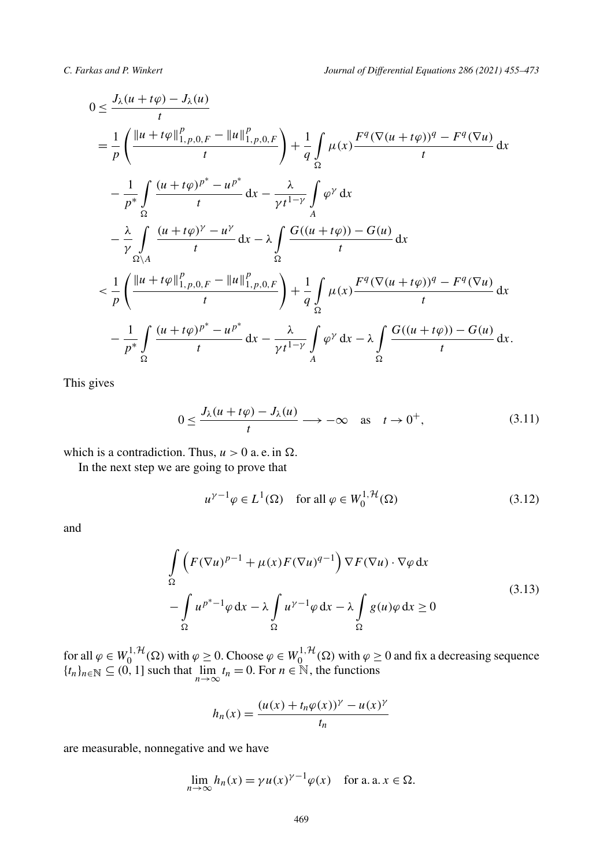<span id="page-14-0"></span>
$$
0 \leq \frac{J_{\lambda}(u+t\varphi) - J_{\lambda}(u)}{t}
$$
  
\n
$$
= \frac{1}{p} \left( \frac{\|u+t\varphi\|_{1,p,0,F}^{p}}{t} - \|u\|_{1,p,0,F}^{p}}{t} \right) + \frac{1}{q} \int_{\Omega} \mu(x) \frac{F^{q}(\nabla(u+t\varphi))^{q} - F^{q}(\nabla u)}{t} dx
$$
  
\n
$$
- \frac{1}{p^{*}} \int_{\Omega} \frac{(u+t\varphi)^{p^{*}} - u^{p^{*}}}{t} dx - \frac{\lambda}{\gamma t^{1-\gamma}} \int_{A} \varphi^{\gamma} dx
$$
  
\n
$$
- \frac{\lambda}{\gamma} \int_{\Omega \setminus A} \frac{(u+t\varphi)^{\gamma} - u^{\gamma}}{t} dx - \lambda \int_{\Omega} \frac{G((u+t\varphi)) - G(u)}{t} dx
$$
  
\n
$$
< \frac{1}{p} \left( \frac{\|u+t\varphi\|_{1,p,0,F}^{p} - \|u\|_{1,p,0,F}^{p}}{t} \right) + \frac{1}{q} \int_{\Omega} \mu(x) \frac{F^{q}(\nabla(u+t\varphi))^{q} - F^{q}(\nabla u)}{t} dx
$$
  
\n
$$
- \frac{1}{p^{*}} \int_{\Omega} \frac{(u+t\varphi)^{p^{*}} - u^{p^{*}}}{t} dx - \frac{\lambda}{\gamma t^{1-\gamma}} \int_{A} \varphi^{\gamma} dx - \lambda \int_{\Omega} \frac{G((u+t\varphi)) - G(u)}{t} dx.
$$

This gives

$$
0 \le \frac{J_{\lambda}(u + t\varphi) - J_{\lambda}(u)}{t} \longrightarrow -\infty \quad \text{as} \quad t \to 0^{+}, \tag{3.11}
$$

which is a contradiction. Thus,  $u > 0$  a. e. in  $\Omega$ .

In the next step we are going to prove that

$$
u^{\gamma - 1} \varphi \in L^{1}(\Omega) \quad \text{for all } \varphi \in W_{0}^{1, \mathcal{H}}(\Omega)
$$
 (3.12)

and

$$
\int_{\Omega} \left( F(\nabla u)^{p-1} + \mu(x) F(\nabla u)^{q-1} \right) \nabla F(\nabla u) \cdot \nabla \varphi \, dx
$$
\n
$$
- \int_{\Omega} u^{p^* - 1} \varphi \, dx - \lambda \int_{\Omega} u^{\gamma - 1} \varphi \, dx - \lambda \int_{\Omega} g(u) \varphi \, dx \ge 0
$$
\n(3.13)

for all  $\varphi \in W_0^{1, H}(\Omega)$  with  $\varphi \ge 0$ . Choose  $\varphi \in W_0^{1, H}(\Omega)$  with  $\varphi \ge 0$  and fix a decreasing sequence  ${t_n}_{n \in \mathbb{N}} \subseteq (0, 1]$  such that  $\lim_{n \to \infty} t_n = 0$ . For  $n \in \mathbb{N}$ , the functions

$$
h_n(x) = \frac{(u(x) + t_n \varphi(x))^\gamma - u(x)^\gamma}{t_n}
$$

are measurable, nonnegative and we have

$$
\lim_{n \to \infty} h_n(x) = \gamma u(x)^{\gamma - 1} \varphi(x) \quad \text{for a. a. } x \in \Omega.
$$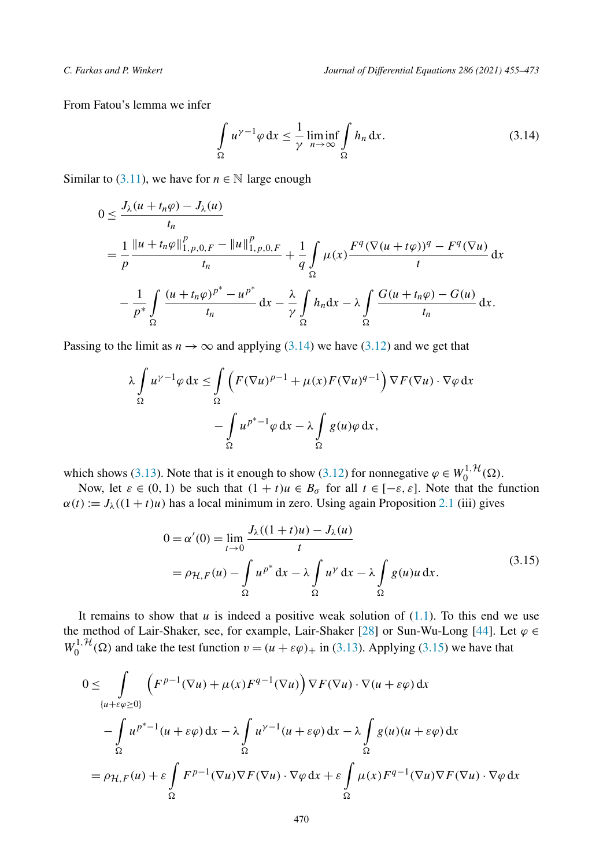From Fatou's lemma we infer

$$
\int_{\Omega} u^{\gamma - 1} \varphi \, dx \le \frac{1}{\gamma} \liminf_{n \to \infty} \int_{\Omega} h_n \, dx.
$$
\n(3.14)

Similar to [\(3.11](#page-14-0)), we have for  $n \in \mathbb{N}$  large enough

$$
0 \leq \frac{J_{\lambda}(u+t_{n}\varphi)-J_{\lambda}(u)}{t_{n}}
$$
  
= 
$$
\frac{1}{p}\frac{\left\|u+t_{n}\varphi\right\|_{1,p,0,F}^{p}}{t_{n}} - \left\|u\right\|_{1,p,0,F}^{p} + \frac{1}{q}\int_{\Omega}\mu(x)\frac{F^{q}(\nabla(u+t\varphi))^{q} - F^{q}(\nabla u)}{t} dx
$$
  

$$
-\frac{1}{p^{*}}\int_{\Omega}\frac{(u+t_{n}\varphi)^{p^{*}} - u^{p^{*}}}{t_{n}} dx - \frac{\lambda}{\gamma}\int_{\Omega}h_{n}dx - \lambda\int_{\Omega}\frac{G(u+t_{n}\varphi) - G(u)}{t_{n}} dx.
$$

Passing to the limit as  $n \to \infty$  and applying (3.14) we have [\(3.12](#page-14-0)) and we get that

$$
\lambda \int_{\Omega} u^{\gamma - 1} \varphi \, dx \le \int_{\Omega} \left( F(\nabla u)^{p - 1} + \mu(x) F(\nabla u)^{q - 1} \right) \nabla F(\nabla u) \cdot \nabla \varphi \, dx
$$

$$
- \int_{\Omega} u^{p^* - 1} \varphi \, dx - \lambda \int_{\Omega} g(u) \varphi \, dx,
$$

which shows ([3.13](#page-14-0)). Note that is it enough to show ([3.12](#page-14-0)) for nonnegative  $\varphi \in W_0^{1, H}(\Omega)$ .

Now, let  $\varepsilon \in (0,1)$  be such that  $(1 + t)u \in B_\sigma$  for all  $t \in [-\varepsilon, \varepsilon]$ . Note that the function  $\alpha(t) := J_{\lambda}((1+t)u)$  has a local minimum in zero. Using again Proposition [2.1](#page-4-0) (iii) gives

$$
0 = \alpha'(0) = \lim_{t \to 0} \frac{J_{\lambda}((1+t)u) - J_{\lambda}(u)}{t}
$$
  
=  $\rho_{\mathcal{H},F}(u) - \int_{\Omega} u^{p^*} dx - \lambda \int_{\Omega} u^{\gamma} dx - \lambda \int_{\Omega} g(u)u dx.$  (3.15)

It remains to show that  $u$  is indeed a positive weak solution of  $(1.1)$ . To this end we use the method of Lair-Shaker, see, for example, Lair-Shaker [[28\]](#page-18-0) or Sun-Wu-Long [\[44](#page-18-0)]. Let  $\varphi \in$  $W_0^{1, H}(\Omega)$  and take the test function  $v = (u + \varepsilon \varphi)_+$  in [\(3.13\)](#page-14-0). Applying (3.15) we have that

$$
0 \leq \int_{\{u+\varepsilon\varphi\geq 0\}} \left( F^{p-1}(\nabla u) + \mu(x) F^{q-1}(\nabla u) \right) \nabla F(\nabla u) \cdot \nabla (u + \varepsilon \varphi) dx
$$
  

$$
- \int_{\Omega} u^{p^* - 1} (u + \varepsilon \varphi) dx - \lambda \int_{\Omega} u^{\gamma - 1} (u + \varepsilon \varphi) dx - \lambda \int_{\Omega} g(u) (u + \varepsilon \varphi) dx
$$
  

$$
= \rho_{\mathcal{H}, F}(u) + \varepsilon \int_{\Omega} F^{p-1}(\nabla u) \nabla F(\nabla u) \cdot \nabla \varphi dx + \varepsilon \int_{\Omega} \mu(x) F^{q-1}(\nabla u) \nabla F(\nabla u) \cdot \nabla \varphi dx
$$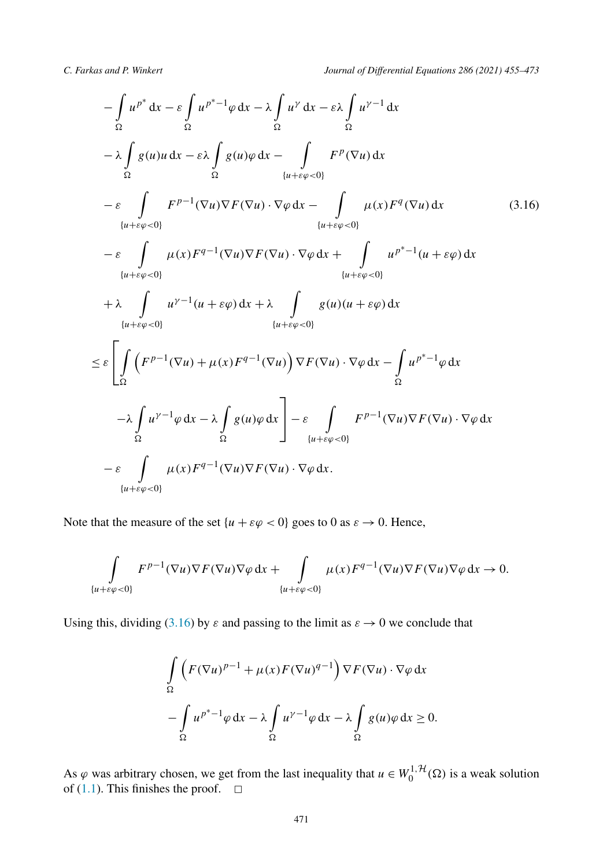$$
-\int_{\Omega} u^{p^*} dx - \varepsilon \int_{\Omega} u^{p^*-1} \varphi dx - \lambda \int_{\Omega} u^{\gamma} dx - \varepsilon \lambda \int_{\Omega} u^{\gamma-1} dx
$$
  
\n
$$
-\lambda \int_{\Omega} g(u)u dx - \varepsilon \lambda \int_{\Omega} g(u) \varphi dx - \int_{\{u+\varepsilon\varphi<0\}} F^p(\nabla u) dx
$$
  
\n
$$
-\varepsilon \int_{\{u+\varepsilon\varphi<0\}} F^{p-1}(\nabla u) \nabla F(\nabla u) \cdot \nabla \varphi dx - \int_{\{u+\varepsilon\varphi<0\}} \mu(x) F^q(\nabla u) dx
$$
(3.16)  
\n
$$
-\varepsilon \int_{\{u+\varepsilon\varphi<0\}} \mu(x) F^{q-1}(\nabla u) \nabla F(\nabla u) \cdot \nabla \varphi dx + \int_{\{u+\varepsilon\varphi<0\}} u^{p^*-1} (u+\varepsilon \varphi) dx
$$
  
\n
$$
+\lambda \int_{\{u+\varepsilon\varphi<0\}} u^{\gamma-1} (u+\varepsilon \varphi) dx + \lambda \int_{\{u+\varepsilon\varphi<0\}} g(u) (u+\varepsilon \varphi) dx
$$
  
\n
$$
\leq \varepsilon \int_{\Omega} \int_{\Omega} \left( F^{p-1}(\nabla u) + \mu(x) F^{q-1}(\nabla u) \right) \nabla F(\nabla u) \cdot \nabla \varphi dx - \int_{\Omega} u^{p^*-1} \varphi dx
$$
  
\n
$$
-\lambda \int_{\Omega} u^{\gamma-1} \varphi dx - \lambda \int_{\Omega} g(u) \varphi dx \Bigg] - \varepsilon \int_{\{u+\varepsilon\varphi<0\}} F^{p-1}(\nabla u) \nabla F(\nabla u) \cdot \nabla \varphi dx
$$
  
\n
$$
-\varepsilon \int_{\Omega} \mu(x) F^{q-1}(\nabla u) \nabla F(\nabla u) \cdot \nabla \varphi dx.
$$

Note that the measure of the set  $\{u + \varepsilon \varphi < 0\}$  goes to 0 as  $\varepsilon \to 0$ . Hence,

$$
\int_{\{u+\varepsilon\varphi<0\}} F^{p-1}(\nabla u)\nabla F(\nabla u)\nabla\varphi \,dx + \int_{\{u+\varepsilon\varphi<0\}} \mu(x)F^{q-1}(\nabla u)\nabla F(\nabla u)\nabla\varphi \,dx \to 0.
$$

Using this, dividing (3.16) by  $\varepsilon$  and passing to the limit as  $\varepsilon \to 0$  we conclude that

$$
\int_{\Omega} \left( F(\nabla u)^{p-1} + \mu(x) F(\nabla u)^{q-1} \right) \nabla F(\nabla u) \cdot \nabla \varphi \, dx
$$

$$
- \int_{\Omega} u^{p^* - 1} \varphi \, dx - \lambda \int_{\Omega} u^{\gamma - 1} \varphi \, dx - \lambda \int_{\Omega} g(u) \varphi \, dx \ge 0.
$$

As  $\varphi$  was arbitrary chosen, we get from the last inequality that  $u \in W_0^{1, H}(\Omega)$  is a weak solution of ([1.1](#page-1-0)). This finishes the proof.  $\Box$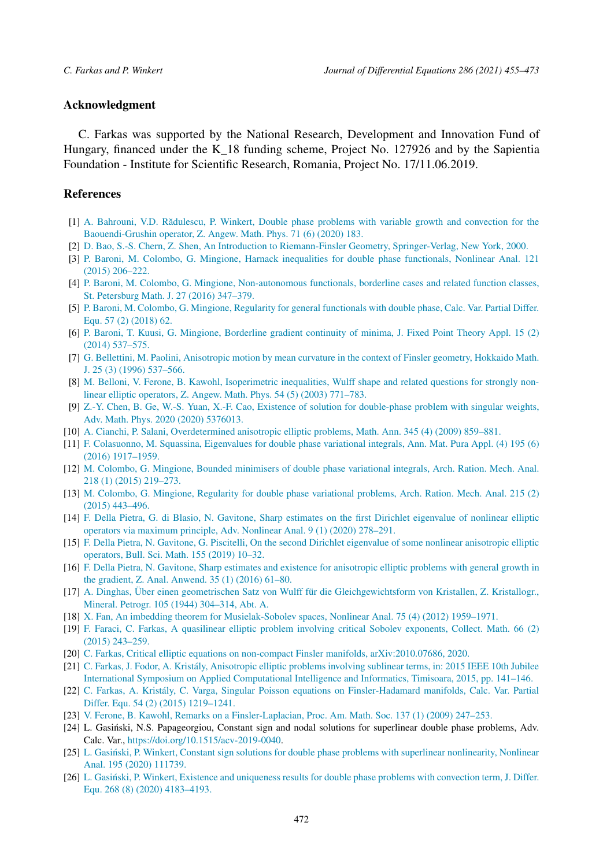## <span id="page-17-0"></span>**Acknowledgment**

C. Farkas was supported by the National Research, Development and Innovation Fund of Hungary, financed under the K\_18 funding scheme, Project No. 127926 and by the Sapientia Foundation - Institute for Scientific Research, Romania, Project No. 17/11.06.2019.

### **References**

- [1] A. Bahrouni, V.D. Rădulescu, P. Winkert, Double phase problems with variable growth and convection for the [Baouendi-Grushin](http://refhub.elsevier.com/S0022-0396(21)00193-5/bib4B1E9B7C07A4A09BCFA655D15DC5A362s1) operator, Z. Angew. Math. Phys. 71 (6) (2020) 183.
- [2] D. Bao, S.-S. Chern, Z. Shen, An Introduction to [Riemann-Finsler](http://refhub.elsevier.com/S0022-0396(21)00193-5/bib40695026489EC371C9E811018DDDA9EBs1) Geometry, Springer-Verlag, New York, 2000.
- [3] P. Baroni, M. Colombo, G. Mingione, Harnack inequalities for double phase [functionals,](http://refhub.elsevier.com/S0022-0396(21)00193-5/bib8B1C3E8D71D67FEBEFF684812E2710F3s1) Nonlinear Anal. 121 (2015) [206–222.](http://refhub.elsevier.com/S0022-0396(21)00193-5/bib8B1C3E8D71D67FEBEFF684812E2710F3s1)
- [4] P. Baroni, M. Colombo, G. Mingione, [Non-autonomous](http://refhub.elsevier.com/S0022-0396(21)00193-5/bib0C9DE131465BAB784B8F886F23E7CBF4s1) functionals, borderline cases and related function classes, St. [Petersburg](http://refhub.elsevier.com/S0022-0396(21)00193-5/bib0C9DE131465BAB784B8F886F23E7CBF4s1) Math. J. 27 (2016) 347–379.
- [5] P. Baroni, M. Colombo, G. Mingione, Regularity for general [functionals](http://refhub.elsevier.com/S0022-0396(21)00193-5/bibB24C49D8440ED993BC2B4769467DD68Es1) with double phase, Calc. Var. Partial Differ. Equ. 57 (2) [\(2018\)](http://refhub.elsevier.com/S0022-0396(21)00193-5/bibB24C49D8440ED993BC2B4769467DD68Es1) 62.
- [6] P. Baroni, T. Kuusi, G. Mingione, [Borderline](http://refhub.elsevier.com/S0022-0396(21)00193-5/bibCA002E22C4E3A517851DF18043E629C4s1) gradient continuity of minima, J. Fixed Point Theory Appl. 15 (2) (2014) [537–575.](http://refhub.elsevier.com/S0022-0396(21)00193-5/bibCA002E22C4E3A517851DF18043E629C4s1)
- [7] G. Bellettini, M. Paolini, [Anisotropic](http://refhub.elsevier.com/S0022-0396(21)00193-5/bibE1309F8FCB774EF3B489A6F4040C143Fs1) motion by mean curvature in the context of Finsler geometry, Hokkaido Math. J. 25 (3) (1996) [537–566.](http://refhub.elsevier.com/S0022-0396(21)00193-5/bibE1309F8FCB774EF3B489A6F4040C143Fs1)
- [8] M. Belloni, V. Ferone, B. Kawohl, [Isoperimetric](http://refhub.elsevier.com/S0022-0396(21)00193-5/bibA840778D340A22E6AA97FFFC751F7242s1) inequalities, Wulff shape and related questions for strongly nonlinear elliptic [operators,](http://refhub.elsevier.com/S0022-0396(21)00193-5/bibA840778D340A22E6AA97FFFC751F7242s1) Z. Angew. Math. Phys. 54 (5) (2003) 771–783.
- [9] Z.-Y. Chen, B. Ge, W.-S. Yuan, X.-F. Cao, Existence of solution for [double-phase](http://refhub.elsevier.com/S0022-0396(21)00193-5/bibB1A47FE504A8F2A78B0016B66C50AC08s1) problem with singular weights, Adv. Math. Phys. 2020 (2020) [5376013.](http://refhub.elsevier.com/S0022-0396(21)00193-5/bibB1A47FE504A8F2A78B0016B66C50AC08s1)
- [10] A. Cianchi, P. Salani, [Overdetermined](http://refhub.elsevier.com/S0022-0396(21)00193-5/bibE52CD1C454BE84AD97A719050A3E7B58s1) anisotropic elliptic problems, Math. Ann. 345 (4) (2009) 859–881.
- [11] F. [Colasuonno,](http://refhub.elsevier.com/S0022-0396(21)00193-5/bib39ADCCE93F1637A6293526A0A3FE859As1) M. Squassina, Eigenvalues for double phase variational integrals, Ann. Mat. Pura Appl. (4) 195 (6) (2016) [1917–1959.](http://refhub.elsevier.com/S0022-0396(21)00193-5/bib39ADCCE93F1637A6293526A0A3FE859As1)
- [12] M. Colombo, G. Mingione, Bounded [minimisers](http://refhub.elsevier.com/S0022-0396(21)00193-5/bibF5AB333105B1BECCF369EE202DB65297s1) of double phase variational integrals, Arch. Ration. Mech. Anal. 218 (1) (2015) [219–273.](http://refhub.elsevier.com/S0022-0396(21)00193-5/bibF5AB333105B1BECCF369EE202DB65297s1)
- [13] M. Colombo, G. Mingione, Regularity for double phase [variational](http://refhub.elsevier.com/S0022-0396(21)00193-5/bibF3818D8141B6F543EE00D360DD1CFC58s1) problems, Arch. Ration. Mech. Anal. 215 (2) (2015) [443–496.](http://refhub.elsevier.com/S0022-0396(21)00193-5/bibF3818D8141B6F543EE00D360DD1CFC58s1)
- [14] F. Della Pietra, G. di Blasio, N. Gavitone, Sharp estimates on the first Dirichlet [eigenvalue](http://refhub.elsevier.com/S0022-0396(21)00193-5/bibB112CE4FF3B5A7963E73CBCBD5BEFE45s1) of nonlinear elliptic operators via [maximum](http://refhub.elsevier.com/S0022-0396(21)00193-5/bibB112CE4FF3B5A7963E73CBCBD5BEFE45s1) principle, Adv. Nonlinear Anal. 9 (1) (2020) 278–291.
- [15] F. Della Pietra, N. Gavitone, G. Piscitelli, On the second Dirichlet eigenvalue of some nonlinear [anisotropic](http://refhub.elsevier.com/S0022-0396(21)00193-5/bib118C3BDEE2EDADD5A2A56DB3AAA8D40As1) elliptic [operators,](http://refhub.elsevier.com/S0022-0396(21)00193-5/bib118C3BDEE2EDADD5A2A56DB3AAA8D40As1) Bull. Sci. Math. 155 (2019) 10–32.
- [16] F. Della Pietra, N. Gavitone, Sharp estimates and existence for [anisotropic](http://refhub.elsevier.com/S0022-0396(21)00193-5/bib132779126D0B0C5190EF14996EB7530Bs1) elliptic problems with general growth in the gradient, Z. Anal. [Anwend.](http://refhub.elsevier.com/S0022-0396(21)00193-5/bib132779126D0B0C5190EF14996EB7530Bs1) 35 (1) (2016) 61–80.
- [17] A. Dinghas, Über einen geometrischen Satz von Wulff für die [Gleichgewichtsform](http://refhub.elsevier.com/S0022-0396(21)00193-5/bib9EEA1961A67ADD91625A39A9ADC75301s1) von Kristallen, Z. Kristallogr., Mineral. Petrogr. 105 (1944) [304–314,](http://refhub.elsevier.com/S0022-0396(21)00193-5/bib9EEA1961A67ADD91625A39A9ADC75301s1) Abt. A.
- [18] X. Fan, An imbedding theorem for [Musielak-Sobolev](http://refhub.elsevier.com/S0022-0396(21)00193-5/bibC3C324EB167C2C9A5E15466DBF53A974s1) spaces, Nonlinear Anal. 75 (4) (2012) 1959–1971.
- [19] F. Faraci, C. Farkas, A [quasilinear](http://refhub.elsevier.com/S0022-0396(21)00193-5/bibC411E6E462EEC343EE4E196A304C22EDs1) elliptic problem involving critical Sobolev exponents, Collect. Math. 66 (2) (2015) [243–259.](http://refhub.elsevier.com/S0022-0396(21)00193-5/bibC411E6E462EEC343EE4E196A304C22EDs1)
- [20] C. Farkas, Critical elliptic equations on non-compact Finsler manifolds, [arXiv:2010.07686,](http://refhub.elsevier.com/S0022-0396(21)00193-5/bibEB468FB44C40F2AEBBDA898A1484C22Bs1) 2020.
- [21] C. Farkas, J. Fodor, A. Kristály, [Anisotropic](http://refhub.elsevier.com/S0022-0396(21)00193-5/bibD99B9F71CFED2208F52F7AFCAFDEC57Ds1) elliptic problems involving sublinear terms, in: 2015 IEEE 10th Jubilee International Symposium on Applied [Computational](http://refhub.elsevier.com/S0022-0396(21)00193-5/bibD99B9F71CFED2208F52F7AFCAFDEC57Ds1) Intelligence and Informatics, Timisoara, 2015, pp. 141–146.
- [22] C. Farkas, A. Kristály, C. Varga, Singular Poisson equations on [Finsler-Hadamard](http://refhub.elsevier.com/S0022-0396(21)00193-5/bib1EFC1800E0D0FF135318F4A9A6073857s1) manifolds, Calc. Var. Partial Differ. Equ. 54 (2) (2015) [1219–1241.](http://refhub.elsevier.com/S0022-0396(21)00193-5/bib1EFC1800E0D0FF135318F4A9A6073857s1)
- [23] V. Ferone, B. Kawohl, Remarks on a [Finsler-Laplacian,](http://refhub.elsevier.com/S0022-0396(21)00193-5/bibEE870567C11E50B6FF8E92BEFAB8997Bs1) Proc. Am. Math. Soc. 137 (1) (2009) 247–253.
- [24] L. Gasiński, N.S. Papageorgiou, Constant sign and nodal solutions for superlinear double phase problems, Adv. Calc. Var., <https://doi.org/10.1515/acv-2019-0040>.
- [25] L. Gasiński, P. Winkert, Constant sign solutions for double phase problems with superlinear [nonlinearity,](http://refhub.elsevier.com/S0022-0396(21)00193-5/bib754C982463FADCD2E58BDE6D76C2F6F4s1) Nonlinear Anal. 195 (2020) [111739.](http://refhub.elsevier.com/S0022-0396(21)00193-5/bib754C982463FADCD2E58BDE6D76C2F6F4s1)
- [26] L. Gasiński, P. Winkert, Existence and [uniqueness](http://refhub.elsevier.com/S0022-0396(21)00193-5/bibE049B05C7F917C86F6B0170FFB127F39s1) results for double phase problems with convection term, J. Differ. Equ. 268 (8) (2020) [4183–4193.](http://refhub.elsevier.com/S0022-0396(21)00193-5/bibE049B05C7F917C86F6B0170FFB127F39s1)